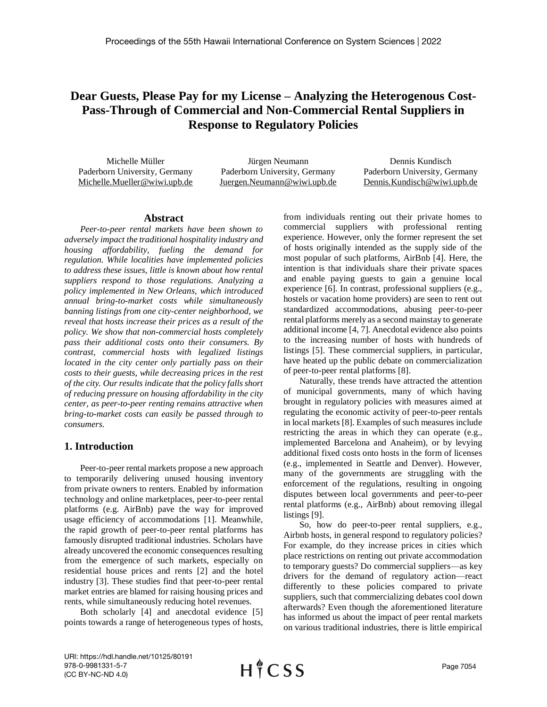# **Dear Guests, Please Pay for my License – Analyzing the Heterogenous Cost-Pass-Through of Commercial and Non-Commercial Rental Suppliers in Response to Regulatory Policies**

Michelle Müller Paderborn University, Germany Michelle.Mueller@wiwi.upb.de

Jürgen Neumann Paderborn University, Germany Juergen.Neumann@wiwi.upb.de

Dennis Kundisch Paderborn University, Germany Dennis.Kundisch@wiwi.upb.de

# **Abstract**

*Peer-to-peer rental markets have been shown to adversely impact the traditional hospitality industry and housing affordability, fueling the demand for regulation. While localities have implemented policies to address these issues, little is known about how rental suppliers respond to those regulations. Analyzing a policy implemented in New Orleans, which introduced annual bring-to-market costs while simultaneously banning listings from one city-center neighborhood, we reveal that hosts increase their prices as a result of the policy. We show that non-commercial hosts completely pass their additional costs onto their consumers. By contrast, commercial hosts with legalized listings located in the city center only partially pass on their costs to their guests, while decreasing prices in the rest of the city. Our results indicate that the policy falls short of reducing pressure on housing affordability in the city center, as peer-to-peer renting remains attractive when bring-to-market costs can easily be passed through to consumers.*

# **1. Introduction**

Peer-to-peer rental markets propose a new approach to temporarily delivering unused housing inventory from private owners to renters. Enabled by information technology and online marketplaces, peer-to-peer rental platforms (e.g. AirBnb) pave the way for improved usage efficiency of accommodations [1]. Meanwhile, the rapid growth of peer-to-peer rental platforms has famously disrupted traditional industries. Scholars have already uncovered the economic consequences resulting from the emergence of such markets, especially on residential house prices and rents [2] and the hotel industry [3]. These studies find that peer-to-peer rental market entries are blamed for raising housing prices and rents, while simultaneously reducing hotel revenues.

Both scholarly [4] and anecdotal evidence [5] points towards a range of heterogeneous types of hosts,

from individuals renting out their private homes to commercial suppliers with professional renting experience. However, only the former represent the set of hosts originally intended as the supply side of the most popular of such platforms, AirBnb [4]. Here, the intention is that individuals share their private spaces and enable paying guests to gain a genuine local experience [6]. In contrast, professional suppliers (e.g., hostels or vacation home providers) are seen to rent out standardized accommodations, abusing peer-to-peer rental platforms merely as a second mainstay to generate additional income [4, 7]. Anecdotal evidence also points to the increasing number of hosts with hundreds of listings [5]. These commercial suppliers, in particular, have heated up the public debate on commercialization of peer-to-peer rental platforms [8].

Naturally, these trends have attracted the attention of municipal governments, many of which having brought in regulatory policies with measures aimed at regulating the economic activity of peer-to-peer rentals in local markets [8]. Examples of such measures include restricting the areas in which they can operate (e.g., implemented Barcelona and Anaheim), or by levying additional fixed costs onto hosts in the form of licenses (e.g., implemented in Seattle and Denver). However, many of the governments are struggling with the enforcement of the regulations, resulting in ongoing disputes between local governments and peer-to-peer rental platforms (e.g., AirBnb) about removing illegal listings [9].

So, how do peer-to-peer rental suppliers, e.g., Airbnb hosts, in general respond to regulatory policies? For example, do they increase prices in cities which place restrictions on renting out private accommodation to temporary guests? Do commercial suppliers—as key drivers for the demand of regulatory action—react differently to these policies compared to private suppliers, such that commercializing debates cool down afterwards? Even though the aforementioned literature has informed us about the impact of peer rental markets on various traditional industries, there is little empirical

URI: https://hdl.handle.net/10125/80191 978-0-9981331-5-7 (CC BY-NC-ND 4.0)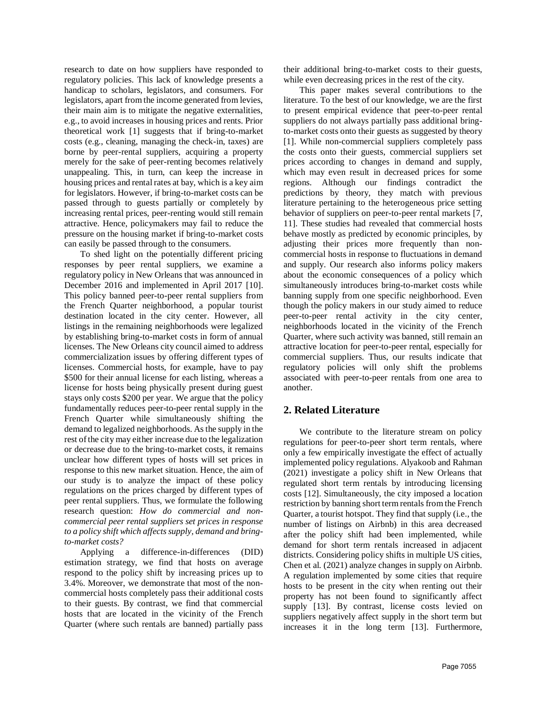research to date on how suppliers have responded to regulatory policies. This lack of knowledge presents a handicap to scholars, legislators, and consumers. For legislators, apart from the income generated from levies, their main aim is to mitigate the negative externalities, e.g., to avoid increases in housing prices and rents. Prior theoretical work [1] suggests that if bring-to-market costs (e.g., cleaning, managing the check-in, taxes) are borne by peer-rental suppliers, acquiring a property merely for the sake of peer-renting becomes relatively unappealing. This, in turn, can keep the increase in housing prices and rental rates at bay, which is a key aim for legislators. However, if bring-to-market costs can be passed through to guests partially or completely by increasing rental prices, peer-renting would still remain attractive. Hence, policymakers may fail to reduce the pressure on the housing market if bring-to-market costs can easily be passed through to the consumers.

To shed light on the potentially different pricing responses by peer rental suppliers, we examine a regulatory policy in New Orleans that was announced in December 2016 and implemented in April 2017 [10]. This policy banned peer-to-peer rental suppliers from the French Quarter neighborhood, a popular tourist destination located in the city center. However, all listings in the remaining neighborhoods were legalized by establishing bring-to-market costs in form of annual licenses. The New Orleans city council aimed to address commercialization issues by offering different types of licenses. Commercial hosts, for example, have to pay \$500 for their annual license for each listing, whereas a license for hosts being physically present during guest stays only costs \$200 per year. We argue that the policy fundamentally reduces peer-to-peer rental supply in the French Quarter while simultaneously shifting the demand to legalized neighborhoods. As the supply in the rest of the city may either increase due to the legalization or decrease due to the bring-to-market costs, it remains unclear how different types of hosts will set prices in response to this new market situation. Hence, the aim of our study is to analyze the impact of these policy regulations on the prices charged by different types of peer rental suppliers. Thus, we formulate the following research question: *How do commercial and noncommercial peer rental suppliers set prices in response to a policy shift which affects supply, demand and bringto-market costs?*

Applying a difference-in-differences (DID) estimation strategy, we find that hosts on average respond to the policy shift by increasing prices up to 3.4%. Moreover, we demonstrate that most of the noncommercial hosts completely pass their additional costs to their guests. By contrast, we find that commercial hosts that are located in the vicinity of the French Quarter (where such rentals are banned) partially pass

their additional bring-to-market costs to their guests, while even decreasing prices in the rest of the city.

This paper makes several contributions to the literature. To the best of our knowledge, we are the first to present empirical evidence that peer-to-peer rental suppliers do not always partially pass additional bringto-market costs onto their guests as suggested by theory [1]. While non-commercial suppliers completely pass the costs onto their guests, commercial suppliers set prices according to changes in demand and supply, which may even result in decreased prices for some regions. Although our findings contradict the predictions by theory, they match with previous literature pertaining to the heterogeneous price setting behavior of suppliers on peer-to-peer rental markets [7, 11]. These studies had revealed that commercial hosts behave mostly as predicted by economic principles, by adjusting their prices more frequently than noncommercial hosts in response to fluctuations in demand and supply. Our research also informs policy makers about the economic consequences of a policy which simultaneously introduces bring-to-market costs while banning supply from one specific neighborhood. Even though the policy makers in our study aimed to reduce peer-to-peer rental activity in the city center, neighborhoods located in the vicinity of the French Quarter, where such activity was banned, still remain an attractive location for peer-to-peer rental, especially for commercial suppliers. Thus, our results indicate that regulatory policies will only shift the problems associated with peer-to-peer rentals from one area to another.

# **2. Related Literature**

We contribute to the literature stream on policy regulations for peer-to-peer short term rentals, where only a few empirically investigate the effect of actually implemented policy regulations. Alyakoob and Rahman (2021) investigate a policy shift in New Orleans that regulated short term rentals by introducing licensing costs [12]. Simultaneously, the city imposed a location restriction by banning short term rentals from the French Quarter, a tourist hotspot. They find that supply (i.e., the number of listings on Airbnb) in this area decreased after the policy shift had been implemented, while demand for short term rentals increased in adjacent districts. Considering policy shifts in multiple US cities, Chen et al. (2021) analyze changes in supply on Airbnb. A regulation implemented by some cities that require hosts to be present in the city when renting out their property has not been found to significantly affect supply [13]. By contrast, license costs levied on suppliers negatively affect supply in the short term but increases it in the long term [13]. Furthermore,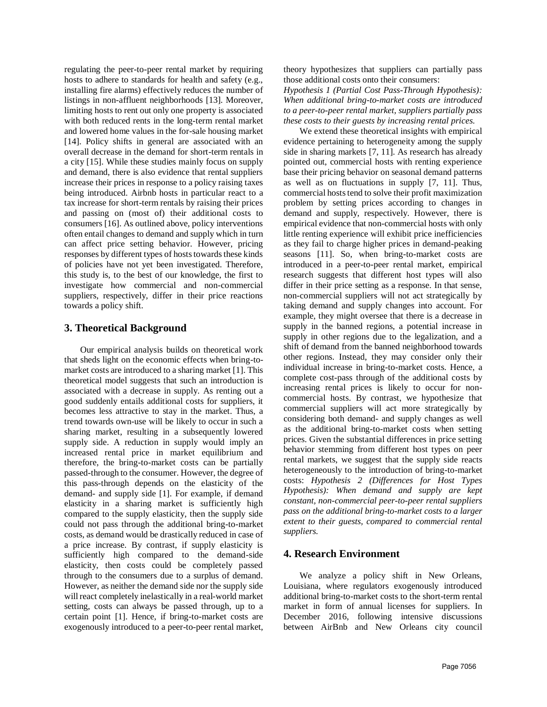regulating the peer-to-peer rental market by requiring hosts to adhere to standards for health and safety (e.g., installing fire alarms) effectively reduces the number of listings in non-affluent neighborhoods [13]. Moreover, limiting hosts to rent out only one property is associated with both reduced rents in the long-term rental market and lowered home values in the for-sale housing market [14]. Policy shifts in general are associated with an overall decrease in the demand for short-term rentals in a city [15]. While these studies mainly focus on supply and demand, there is also evidence that rental suppliers increase their prices in response to a policy raising taxes being introduced. Airbnb hosts in particular react to a tax increase for short-term rentals by raising their prices and passing on (most of) their additional costs to consumers [16]. As outlined above, policy interventions often entail changes to demand and supply which in turn can affect price setting behavior. However, pricing responses by different types of hosts towards these kinds of policies have not yet been investigated. Therefore, this study is, to the best of our knowledge, the first to investigate how commercial and non-commercial suppliers, respectively, differ in their price reactions towards a policy shift.

## **3. Theoretical Background**

Our empirical analysis builds on theoretical work that sheds light on the economic effects when bring-tomarket costs are introduced to a sharing market [1]. This theoretical model suggests that such an introduction is associated with a decrease in supply. As renting out a good suddenly entails additional costs for suppliers, it becomes less attractive to stay in the market. Thus, a trend towards own-use will be likely to occur in such a sharing market, resulting in a subsequently lowered supply side. A reduction in supply would imply an increased rental price in market equilibrium and therefore, the bring-to-market costs can be partially passed-through to the consumer. However, the degree of this pass-through depends on the elasticity of the demand- and supply side [1]. For example, if demand elasticity in a sharing market is sufficiently high compared to the supply elasticity, then the supply side could not pass through the additional bring-to-market costs, as demand would be drastically reduced in case of a price increase. By contrast, if supply elasticity is sufficiently high compared to the demand-side elasticity, then costs could be completely passed through to the consumers due to a surplus of demand. However, as neither the demand side nor the supply side will react completely inelastically in a real-world market setting, costs can always be passed through, up to a certain point [1]. Hence, if bring-to-market costs are exogenously introduced to a peer-to-peer rental market, theory hypothesizes that suppliers can partially pass those additional costs onto their consumers:

*Hypothesis 1 (Partial Cost Pass-Through Hypothesis): When additional bring-to-market costs are introduced to a peer-to-peer rental market, suppliers partially pass these costs to their guests by increasing rental prices.* 

We extend these theoretical insights with empirical evidence pertaining to heterogeneity among the supply side in sharing markets [7, 11]. As research has already pointed out, commercial hosts with renting experience base their pricing behavior on seasonal demand patterns as well as on fluctuations in supply [7, 11]. Thus, commercial hosts tend to solve their profit maximization problem by setting prices according to changes in demand and supply, respectively. However, there is empirical evidence that non-commercial hosts with only little renting experience will exhibit price inefficiencies as they fail to charge higher prices in demand-peaking seasons [11]. So, when bring-to-market costs are introduced in a peer-to-peer rental market, empirical research suggests that different host types will also differ in their price setting as a response. In that sense, non-commercial suppliers will not act strategically by taking demand and supply changes into account. For example, they might oversee that there is a decrease in supply in the banned regions, a potential increase in supply in other regions due to the legalization, and a shift of demand from the banned neighborhood towards other regions. Instead, they may consider only their individual increase in bring-to-market costs. Hence, a complete cost-pass through of the additional costs by increasing rental prices is likely to occur for noncommercial hosts. By contrast, we hypothesize that commercial suppliers will act more strategically by considering both demand- and supply changes as well as the additional bring-to-market costs when setting prices. Given the substantial differences in price setting behavior stemming from different host types on peer rental markets, we suggest that the supply side reacts heterogeneously to the introduction of bring-to-market costs: *Hypothesis 2 (Differences for Host Types Hypothesis): When demand and supply are kept constant, non-commercial peer-to-peer rental suppliers pass on the additional bring-to-market costs to a larger extent to their guests, compared to commercial rental suppliers.*

# **4. Research Environment**

We analyze a policy shift in New Orleans, Louisiana, where regulators exogenously introduced additional bring-to-market costs to the short-term rental market in form of annual licenses for suppliers. In December 2016, following intensive discussions between AirBnb and New Orleans city council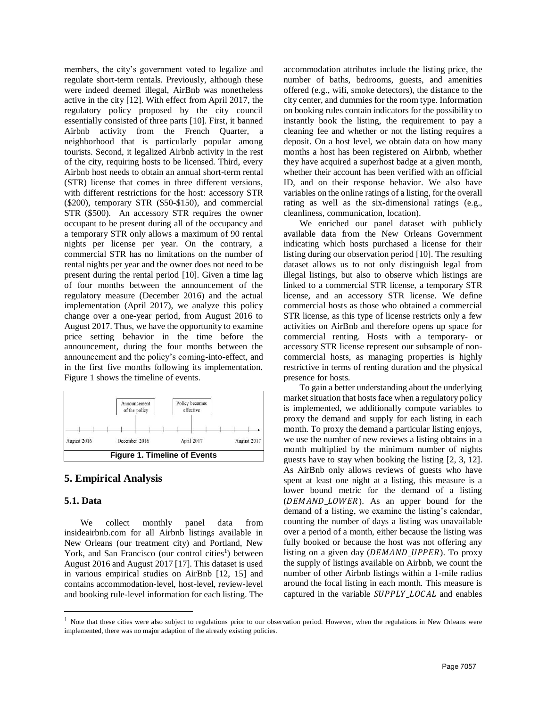members, the city's government voted to legalize and regulate short-term rentals. Previously, although these were indeed deemed illegal, AirBnb was nonetheless active in the city [12]. With effect from April 2017, the regulatory policy proposed by the city council essentially consisted of three parts [10]. First, it banned Airbnb activity from the French Quarter, a neighborhood that is particularly popular among tourists. Second, it legalized Airbnb activity in the rest of the city, requiring hosts to be licensed. Third, every Airbnb host needs to obtain an annual short-term rental (STR) license that comes in three different versions, with different restrictions for the host: accessory STR (\$200), temporary STR (\$50-\$150), and commercial STR (\$500). An accessory STR requires the owner occupant to be present during all of the occupancy and a temporary STR only allows a maximum of 90 rental nights per license per year. On the contrary, a commercial STR has no limitations on the number of rental nights per year and the owner does not need to be present during the rental period [10]. Given a time lag of four months between the announcement of the regulatory measure (December 2016) and the actual implementation (April 2017), we analyze this policy change over a one-year period, from August 2016 to August 2017. Thus, we have the opportunity to examine price setting behavior in the time before the announcement, during the four months between the announcement and the policy's coming-into-effect, and in the first five months following its implementation. Figure 1 shows the timeline of events.



# **5. Empirical Analysis**

#### **5.1. Data**

 $\overline{a}$ 

We collect monthly panel data from insideairbnb.com for all Airbnb listings available in New Orleans (our treatment city) and Portland, New York, and San Francisco (our control cities<sup>1</sup>) between August 2016 and August 2017 [17]. This dataset is used in various empirical studies on AirBnb [12, 15] and contains accommodation-level, host-level, review-level and booking rule-level information for each listing. The

accommodation attributes include the listing price, the number of baths, bedrooms, guests, and amenities offered (e.g., wifi, smoke detectors), the distance to the city center, and dummies for the room type. Information on booking rules contain indicators for the possibility to instantly book the listing, the requirement to pay a cleaning fee and whether or not the listing requires a deposit. On a host level, we obtain data on how many months a host has been registered on Airbnb, whether they have acquired a superhost badge at a given month, whether their account has been verified with an official ID, and on their response behavior. We also have variables on the online ratings of a listing, for the overall rating as well as the six-dimensional ratings (e.g., cleanliness, communication, location).

We enriched our panel dataset with publicly available data from the New Orleans Government indicating which hosts purchased a license for their listing during our observation period [10]. The resulting dataset allows us to not only distinguish legal from illegal listings, but also to observe which listings are linked to a commercial STR license, a temporary STR license, and an accessory STR license. We define commercial hosts as those who obtained a commercial STR license, as this type of license restricts only a few activities on AirBnb and therefore opens up space for commercial renting. Hosts with a temporary- or accessory STR license represent our subsample of noncommercial hosts, as managing properties is highly restrictive in terms of renting duration and the physical presence for hosts.

To gain a better understanding about the underlying market situation that hosts face when a regulatory policy is implemented, we additionally compute variables to proxy the demand and supply for each listing in each month. To proxy the demand a particular listing enjoys, we use the number of new reviews a listing obtains in a month multiplied by the minimum number of nights guests have to stay when booking the listing [2, 3, 12]. As AirBnb only allows reviews of guests who have spent at least one night at a listing, this measure is a lower bound metric for the demand of a listing (DEMAND\_LOWER). As an upper bound for the demand of a listing, we examine the listing's calendar, counting the number of days a listing was unavailable over a period of a month, either because the listing was fully booked or because the host was not offering any listing on a given day  $(DEMAND_UPPER)$ . To proxy the supply of listings available on Airbnb, we count the number of other Airbnb listings within a 1-mile radius around the focal listing in each month. This measure is captured in the variable SUPPLY\_LOCAL and enables

 $<sup>1</sup>$  Note that these cities were also subject to regulations prior to our observation period. However, when the regulations in New Orleans were</sup> implemented, there was no major adaption of the already existing policies.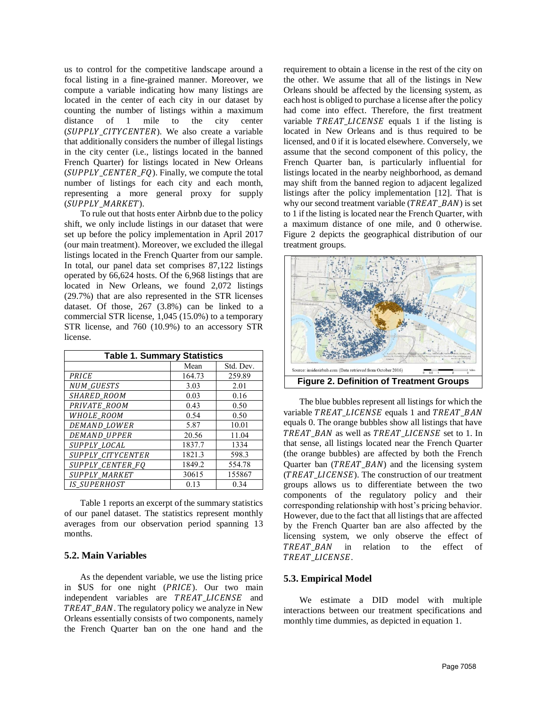us to control for the competitive landscape around a focal listing in a fine-grained manner. Moreover, we compute a variable indicating how many listings are located in the center of each city in our dataset by counting the number of listings within a maximum distance of 1 mile to the city center  $(SUPPLY\_CITYCENTER)$ . We also create a variable that additionally considers the number of illegal listings in the city center (i.e., listings located in the banned French Quarter) for listings located in New Orleans ( $SUPPLY$  CENTER  $FO$ ). Finally, we compute the total number of listings for each city and each month, representing a more general proxy for supply (SUPPLY\_MARKET).

To rule out that hosts enter Airbnb due to the policy shift, we only include listings in our dataset that were set up before the policy implementation in April 2017 (our main treatment). Moreover, we excluded the illegal listings located in the French Quarter from our sample. In total, our panel data set comprises 87,122 listings operated by 66,624 hosts. Of the 6,968 listings that are located in New Orleans, we found 2,072 listings (29.7%) that are also represented in the STR licenses dataset. Of those, 267 (3.8%) can be linked to a commercial STR license, 1,045 (15.0%) to a temporary STR license, and 760 (10.9%) to an accessory STR license.

| <b>Table 1. Summary Statistics</b> |        |           |  |  |  |  |  |
|------------------------------------|--------|-----------|--|--|--|--|--|
|                                    | Mean   | Std. Dev. |  |  |  |  |  |
| PRICE                              | 164.73 | 259.89    |  |  |  |  |  |
| <b>NUM GUESTS</b>                  | 3.03   | 2.01      |  |  |  |  |  |
| <b>SHARED ROOM</b>                 | 0.03   | 0.16      |  |  |  |  |  |
| PRIVATE_ROOM                       | 0.43   | 0.50      |  |  |  |  |  |
| WHOLE_ROOM                         | 0.54   | 0.50      |  |  |  |  |  |
| DEMAND LOWER                       | 5.87   | 10.01     |  |  |  |  |  |
| DEMAND_UPPER                       | 20.56  | 11.04     |  |  |  |  |  |
| SUPPLY LOCAL                       | 1837.7 | 1334      |  |  |  |  |  |
| <b>SUPPLY CITYCENTER</b>           | 1821.3 | 598.3     |  |  |  |  |  |
| SUPPLY_CENTER_FQ                   | 1849.2 | 554.78    |  |  |  |  |  |
| <b>SUPPLY MARKET</b>               | 30615  | 155867    |  |  |  |  |  |
| <b>IS SUPERHOST</b>                | 0.13   | 0.34      |  |  |  |  |  |

Table 1 reports an excerpt of the summary statistics of our panel dataset. The statistics represent monthly averages from our observation period spanning 13 months.

#### **5.2. Main Variables**

As the dependent variable, we use the listing price in \$US for one night (PRICE). Our two main independent variables are TREAT\_LICENSE and TREAT\_BAN. The regulatory policy we analyze in New Orleans essentially consists of two components, namely the French Quarter ban on the one hand and the

requirement to obtain a license in the rest of the city on the other. We assume that all of the listings in New Orleans should be affected by the licensing system, as each host is obliged to purchase a license after the policy had come into effect. Therefore, the first treatment variable  $TREAT$ *LICENSE* equals 1 if the listing is located in New Orleans and is thus required to be licensed, and 0 if it is located elsewhere. Conversely, we assume that the second component of this policy, the French Quarter ban, is particularly influential for listings located in the nearby neighborhood, as demand may shift from the banned region to adjacent legalized listings after the policy implementation [12]. That is why our second treatment variable  $(TREAT \text{ } BAN)$  is set to 1 if the listing is located near the French Quarter, with a maximum distance of one mile, and 0 otherwise. Figure 2 depicts the geographical distribution of our treatment groups.



The blue bubbles represent all listings for which the variable TREAT\_LICENSE equals 1 and TREAT\_BAN equals 0. The orange bubbles show all listings that have TREAT BAN as well as TREAT LICENSE set to 1. In that sense, all listings located near the French Quarter (the orange bubbles) are affected by both the French Quarter ban  $(TREAT_BAN)$  and the licensing system (TREAT\_LICENSE). The construction of our treatment groups allows us to differentiate between the two components of the regulatory policy and their corresponding relationship with host's pricing behavior. However, due to the fact that all listings that are affected by the French Quarter ban are also affected by the licensing system, we only observe the effect of TREAT BAN in relation to the effect of TREAT\_LICENSE.

#### **5.3. Empirical Model**

We estimate a DID model with multiple interactions between our treatment specifications and monthly time dummies, as depicted in equation 1.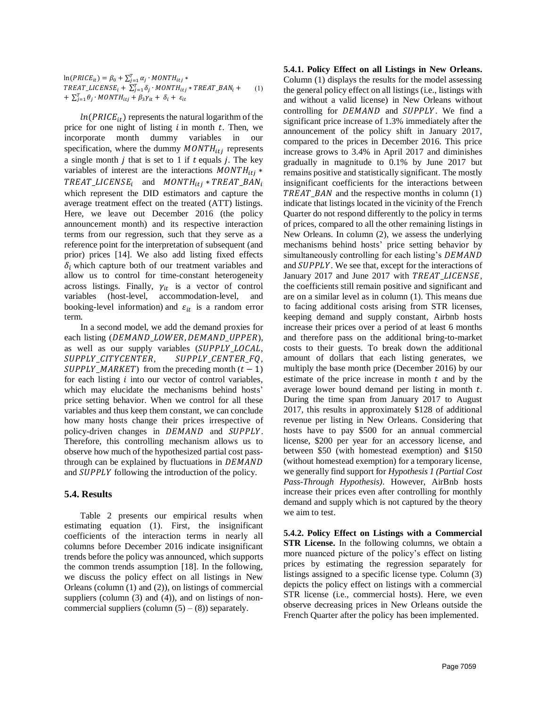$ln(PRICE_{it}) = \beta_0 + \sum_{j=1}^{T} \alpha_j \cdot MOMTH_{itj} *$  $TREAT\_LICENSE_i + \sum_{j=1}^{T} \delta_j \cdot MOMTH_{itj} * TREAT\_BAN_i +$ +  $\sum_{j=1}^{T} \theta_j$  · MONTH<sub>itj</sub> +  $\beta_3 \gamma_{it}$  +  $\delta_i$  +  $\varepsilon_{it}$ (1)

 $ln(PRICE_{it})$  represents the natural logarithm of the price for one night of listing  $i$  in month  $t$ . Then, we incorporate month dummy variables in our specification, where the dummy  $MONTH_{it}$  represents a single month  $i$  that is set to 1 if  $t$  equals  $i$ . The key variables of interest are the interactions  $MONTH_{it}$  $TREAT\_LICENSE_i$  and  $MONTH_{itj} * TREAT\_BAN_i$ which represent the DID estimators and capture the average treatment effect on the treated (ATT) listings. Here, we leave out December 2016 (the policy announcement month) and its respective interaction terms from our regression, such that they serve as a reference point for the interpretation of subsequent (and prior) prices [14]. We also add listing fixed effects  $\delta_i$  which capture both of our treatment variables and allow us to control for time-constant heterogeneity across listings. Finally,  $\gamma_{it}$  is a vector of control variables (host-level, accommodation-level, and booking-level information) and  $\varepsilon_{it}$  is a random error term.

In a second model, we add the demand proxies for each listing (DEMAND\_LOWER, DEMAND\_UPPER), as well as our supply variables (SUPPLY\_LOCAL, SUPPLY\_CITYCENTER, SUPPLY\_CENTER\_FQ,  $SUPPLY_MARKET$  from the preceding month  $(t - 1)$ for each listing  $i$  into our vector of control variables, which may elucidate the mechanisms behind hosts' price setting behavior. When we control for all these variables and thus keep them constant, we can conclude how many hosts change their prices irrespective of policy-driven changes in DEMAND and SUPPLY. Therefore, this controlling mechanism allows us to observe how much of the hypothesized partial cost passthrough can be explained by fluctuations in DEMAND and *SUPPLY* following the introduction of the policy.

#### **5.4. Results**

Table 2 presents our empirical results when estimating equation (1). First, the insignificant coefficients of the interaction terms in nearly all columns before December 2016 indicate insignificant trends before the policy was announced, which supports the common trends assumption [18]. In the following, we discuss the policy effect on all listings in New Orleans (column (1) and (2)), on listings of commercial suppliers (column  $(3)$  and  $(4)$ ), and on listings of noncommercial suppliers (column  $(5) - (8)$ ) separately.

**5.4.1. Policy Effect on all Listings in New Orleans.**  Column (1) displays the results for the model assessing the general policy effect on all listings (i.e., listings with and without a valid license) in New Orleans without controlling for DEMAND and SUPPLY. We find a significant price increase of 1.3% immediately after the announcement of the policy shift in January 2017, compared to the prices in December 2016. This price increase grows to 3.4% in April 2017 and diminishes gradually in magnitude to 0.1% by June 2017 but remains positive and statistically significant. The mostly insignificant coefficients for the interactions between  $TREAT$  BAN and the respective months in column  $(1)$ indicate that listings located in the vicinity of the French Quarter do not respond differently to the policy in terms of prices, compared to all the other remaining listings in New Orleans. In column (2), we assess the underlying mechanisms behind hosts' price setting behavior by simultaneously controlling for each listing's DEMAND and SUPPLY. We see that, except for the interactions of January 2017 and June 2017 with TREAT\_LICENSE, the coefficients still remain positive and significant and are on a similar level as in column (1). This means due to facing additional costs arising from STR licenses, keeping demand and supply constant, Airbnb hosts increase their prices over a period of at least 6 months and therefore pass on the additional bring-to-market costs to their guests. To break down the additional amount of dollars that each listing generates, we multiply the base month price (December 2016) by our estimate of the price increase in month  $t$  and by the average lower bound demand per listing in month  $t$ . During the time span from January 2017 to August 2017, this results in approximately \$128 of additional revenue per listing in New Orleans. Considering that hosts have to pay \$500 for an annual commercial license, \$200 per year for an accessory license, and between \$50 (with homestead exemption) and \$150 (without homestead exemption) for a temporary license, we generally find support for *Hypothesis 1 (Partial Cost Pass-Through Hypothesis)*. However, AirBnb hosts increase their prices even after controlling for monthly demand and supply which is not captured by the theory we aim to test.

**5.4.2. Policy Effect on Listings with a Commercial STR License.** In the following columns, we obtain a more nuanced picture of the policy's effect on listing prices by estimating the regression separately for listings assigned to a specific license type. Column (3) depicts the policy effect on listings with a commercial STR license (i.e., commercial hosts). Here, we even observe decreasing prices in New Orleans outside the French Quarter after the policy has been implemented.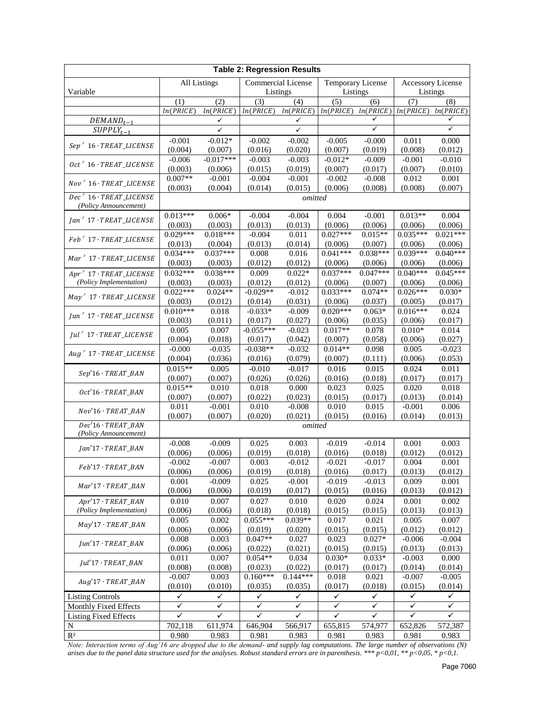| <b>Table 2: Regression Results</b>                                      |                         |                        |                       |                       |                       |                       |                       |                       |  |  |
|-------------------------------------------------------------------------|-------------------------|------------------------|-----------------------|-----------------------|-----------------------|-----------------------|-----------------------|-----------------------|--|--|
|                                                                         | <b>All Listings</b>     |                        | Commercial License    |                       | Temporary License     |                       | Accessory License     |                       |  |  |
| Variable                                                                |                         |                        | Listings              |                       | Listings              |                       | Listings              |                       |  |  |
|                                                                         | (1)                     | (2)                    | (3)                   | (4)                   | (5)                   | (6)                   | (7)                   | (8)                   |  |  |
|                                                                         | ln(PRICE)               | ln(PRICE)              | ln(PRICE)             | ln(PRICE)             | ln(PRICE)             | ln(PRICE)             | ln(PRICE)             | ln(PRICE)             |  |  |
| $DEMAND_{t-1}$                                                          |                         | ✓                      |                       | $\checkmark$          |                       | ✓<br>✓                |                       | ✓<br>$\checkmark$     |  |  |
| $SUPPLY_{t-1}$                                                          |                         | $\checkmark$           |                       | $\checkmark$          |                       |                       |                       |                       |  |  |
| $Sep'$ 16 $TREAT$ _LICENSE                                              | $-0.001$                | $-0.012*$              | $-0.002$              | $-0.002$              | $-0.005$              | $-0.000$              | 0.011                 | 0.000                 |  |  |
| $Oct'$ 16 $TREAT$ <i>LICENSE</i><br>Nov <sup>'</sup> 16 · TREAT_LICENSE | (0.004)<br>$-0.006$     | (0.007)<br>$-0.017***$ | (0.016)<br>$-0.003$   | (0.020)<br>$-0.003$   | (0.007)<br>$-0.012*$  | (0.019)<br>$-0.009$   | (0.008)<br>$-0.001$   | (0.012)<br>$-0.010$   |  |  |
|                                                                         | (0.003)                 | (0.006)                | (0.015)               | (0.019)               | (0.007)               | (0.017)               | (0.007)               | (0.010)               |  |  |
|                                                                         | $0.007**$               | $-0.001$               | $-0.004$              | $-0.001$              | $-0.002$              | $-0.008$              | 0.012                 | 0.001                 |  |  |
|                                                                         | (0.003)                 | (0.004)                | (0.014)               | (0.015)               | (0.006)               | (0.008)               | (0.008)               | (0.007)               |  |  |
| $Dec'$ 16 $TREAT$ _LICENSE                                              |                         |                        |                       | omitted               |                       |                       |                       |                       |  |  |
| (Policy Announcement)                                                   |                         |                        |                       |                       |                       |                       |                       |                       |  |  |
| $Jan'$ 17 $TREAT$ <i>_LICENSE</i>                                       | $0.013***$              | $0.006*$               | $-0.004$              | $-0.004$              | 0.004                 | $-0.001$              | $0.013**$             | 0.004                 |  |  |
|                                                                         | (0.003)                 | (0.003)                | (0.013)               | (0.013)               | (0.006)               | (0.006)               | (0.006)               | (0.006)               |  |  |
| $Feb'$ 17 $TREAT$ <i>LICENSE</i>                                        | $0.029***$              | $0.018***$             | $-0.004$              | 0.011                 | $0.027***$            | $0.015**$             | $0.035***$            | $0.021***$            |  |  |
|                                                                         | (0.013)<br>$0.034***$   | (0.004)<br>$0.037***$  | (0.013)<br>0.008      | (0.014)<br>0.016      | (0.006)<br>$0.041***$ | (0.007)<br>$0.038***$ | (0.006)<br>$0.039***$ | (0.006)<br>$0.040***$ |  |  |
| $Mar'$ 17 $\cdot$ TREAT_LICENSE                                         | (0.003)                 | (0.003)                | (0.012)               | (0.012)               | (0.006)               | (0.006)               | (0.006)               | (0.006)               |  |  |
| $Apr'$ 17 $\cdot$ TREAT_LICENSE                                         | $0.032***$              | $0.038***$             | 0.009                 | $0.022*$              | $0.037***$            | $0.047***$            | $0.040***$            | $0.045***$            |  |  |
| (Policy Implementation)                                                 | (0.003)                 | (0.003)                | (0.012)               | (0.012)               | (0.006)               | (0.007)               | (0.006)               | (0.006)               |  |  |
|                                                                         | $0.022***$              | $0.024**$              | $-0.029**$            | $-0.012$              | $0.033***$            | $0.074**$             | $0.026***$            | $0.030*$              |  |  |
| May '17 · TREAT_LICENSE                                                 | (0.003)                 | (0.012)                | (0.014)               | (0.031)               | (0.006)               | (0.037)               | (0.005)               | (0.017)               |  |  |
|                                                                         | $0.010***$              | 0.018                  | $-0.033*$             | $-0.009$              | $0.020***$            | $0.063*$              | $0.016***$            | 0.024                 |  |  |
| $\int$ un <sup><math>\prime</math></sup> 17 · TREAT_LICENSE             | (0.003)                 | (0.011)                | (0.017)               | (0.027)               | (0.006)               | (0.035)               | (0.006)               | (0.017)               |  |  |
| Jul <sup>'</sup> 17 · TREAT_LICENSE                                     | 0.005                   | 0.007                  | $-0.055***$           | $-0.023$              | $0.017**$             | 0.078                 | $0.010*$              | 0.014                 |  |  |
|                                                                         | (0.004)                 | (0.018)                | (0.017)               | (0.042)               | (0.007)               | (0.058)               | (0.006)               | (0.027)               |  |  |
| $Aug'$ 17 · TREAT_LICENSE                                               | $-0.000$                | $-0.035$               | $-0.038**$            | $-0.032$              | $0.014**$             | 0.098                 | 0.005                 | $-0.023$              |  |  |
|                                                                         | (0.004)                 | (0.036)                | (0.016)               | (0.079)               | (0.007)               | (0.111)               | (0.006)               | (0.053)               |  |  |
| $Sep'16 \cdot TREAT_BAN$                                                | $0.015**$               | 0.005                  | $-0.010$              | $-0.017$              | 0.016                 | 0.015                 | 0.024                 | 0.011                 |  |  |
|                                                                         | (0.007)<br>$0.015**$    | (0.007)<br>0.010       | (0.026)<br>0.018      | (0.026)<br>0.000      | (0.016)<br>0.023      | (0.018)<br>0.025      | (0.017)<br>0.020      | (0.017)<br>0.018      |  |  |
| $Oct'16 \cdot TREAT\_BAN$                                               | (0.007)                 | (0.007)                | (0.022)               | (0.023)               | (0.015)               | (0.017)               | (0.013)               | (0.014)               |  |  |
|                                                                         | 0.011                   | $-0.001$               | 0.010                 | $-0.008$              | 0.010                 | 0.015                 | $-0.001$              | 0.006                 |  |  |
| $Nov'16$ $TREAT$ $BAN$                                                  | (0.007)                 | (0.007)                | (0.020)               | (0.021)               | (0.015)               | (0.016)               | (0.014)               | (0.013)               |  |  |
| $Dec'16 \cdot TREAT\_BAN$                                               | omitted                 |                        |                       |                       |                       |                       |                       |                       |  |  |
| (Policy Announcement)                                                   |                         |                        |                       |                       |                       |                       |                       |                       |  |  |
| $Jan'17 \cdot TREAT\_BAN$                                               | $-0.008$                | $-0.009$               | 0.025                 | 0.003                 | $-0.019$              | $-0.014$              | 0.001                 | 0.003                 |  |  |
|                                                                         | (0.006)                 | (0.006)                | (0.019)               | (0.018)               | (0.016)               | (0.018)               | (0.012)               | (0.012)               |  |  |
| $Feb'17 \cdot TREAT_BAN$                                                | $-0.002$<br>(0.006)     | $-0.007$<br>(0.006)    | 0.003<br>(0.019)      | $-0.012$<br>(0.018)   | $-0.021$<br>(0.016)   | $-0.017$<br>(0.017)   | 0.004<br>(0.013)      | 0.001<br>(0.012)      |  |  |
|                                                                         | 0.001                   | $-0.009$               | 0.025                 | $-0.001$              | $-0.019$              | $-0.013$              | 0.009                 | 0.001                 |  |  |
| $Mar'17 \cdot TREAT\_BAN$                                               | (0.006)                 | (0.006)                | (0.019)               | (0.017)               | (0.015)               | (0.016)               | (0.013)               | (0.012)               |  |  |
| $Apr'$ 17 · TREAT_BAN<br>(Policy Implementation)                        | 0.010                   | 0.007                  | 0.027                 | 0.010                 | 0.020                 | 0.024                 | 0.001                 | 0.002                 |  |  |
|                                                                         | (0.006)                 | (0.006)                | (0.018)               | (0.018)               | (0.015)               | (0.015)               | (0.013)               | (0.013)               |  |  |
| $May'17 \cdot TREAT_BAN$                                                | 0.005                   | 0.002                  | $0.055***$            | $0.039**$             | 0.017                 | 0.021                 | 0.005                 | 0.007                 |  |  |
|                                                                         | (0.006)                 | (0.006)                | (0.019)               | (0.020)               | (0.015)               | (0.015)               | (0.012)               | (0.012)               |  |  |
| $Jun'17 \cdot TREAT\_BAN$<br>$Jul'17 \cdot TREAT\_BAN$                  | 0.008                   | 0.003                  | $0.047**$             | 0.027                 | 0.023                 | $0.027*$              | $-0.006$              | $-0.004$              |  |  |
|                                                                         | (0.006)                 | (0.006)                | (0.022)               | (0.021)               | (0.015)               | (0.015)               | (0.013)               | (0.013)               |  |  |
|                                                                         | 0.011                   | 0.007                  | $0.054**$             | 0.034                 | $0.030*$              | $0.033*$              | $-0.003$              | 0.000                 |  |  |
| $Aug'17 \cdot TREAT\_BAN$                                               | (0.008)                 | (0.008)                | (0.023)               | (0.022)               | (0.017)               | (0.017)               | (0.014)<br>$-0.007$   | (0.014)               |  |  |
|                                                                         | $-0.007$<br>(0.010)     | 0.003<br>(0.010)       | $0.160***$<br>(0.035) | $0.144***$<br>(0.035) | 0.018<br>(0.017)      | 0.021<br>(0.018)      | (0.015)               | $-0.005$<br>(0.014)   |  |  |
| <b>Listing Controls</b>                                                 | $\overline{\checkmark}$ | $\checkmark$           | ✓                     | $\checkmark$          | $\checkmark$          | $\checkmark$          | ✓                     | ✓                     |  |  |
| Monthly Fixed Effects                                                   | $\checkmark$            | ✓                      | ✓                     | ✓                     | $\checkmark$          | $\checkmark$          | ✓                     | ✓                     |  |  |
| <b>Listing Fixed Effects</b>                                            | ✓                       | ✓                      | ✓                     | ✓                     | ✓                     | ✓                     | ✓                     | ✓                     |  |  |
| N                                                                       | 702,118                 | 611,974                | 646,904               | 566,917               | 655,815               | 574,977               | 652,826               | 572,387               |  |  |
| $\mathbb{R}^2$                                                          | 0.980                   | 0.983                  | 0.981                 | 0.983                 | 0.981                 | 0.983                 | 0.981                 | 0.983                 |  |  |

*Note: Interaction terms of Aug'16 are dropped due to the demand- and supply lag computations. The large number of observations (N) arises due to the panel data structure used for the analyses. Robust standard errors are in parenthesis. \*\*\* p<0,01, \*\* p<0,05, \* p<0,1.*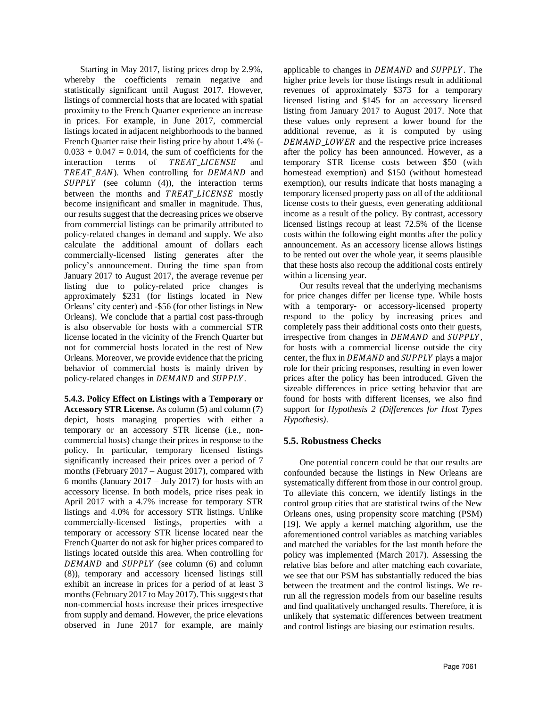Starting in May 2017, listing prices drop by 2.9%, whereby the coefficients remain negative and statistically significant until August 2017. However, listings of commercial hosts that are located with spatial proximity to the French Quarter experience an increase in prices. For example, in June 2017, commercial listings located in adjacent neighborhoods to the banned French Quarter raise their listing price by about 1.4% (-  $0.033 + 0.047 = 0.014$ , the sum of coefficients for the interaction terms of TREAT\_LICENSE and TREAT\_BAN). When controlling for DEMAND and  $SUPPLY$  (see column  $(4)$ ), the interaction terms between the months and TREAT\_LICENSE mostly become insignificant and smaller in magnitude. Thus, our results suggest that the decreasing prices we observe from commercial listings can be primarily attributed to policy-related changes in demand and supply. We also calculate the additional amount of dollars each commercially-licensed listing generates after the policy's announcement. During the time span from January 2017 to August 2017, the average revenue per listing due to policy-related price changes is approximately \$231 (for listings located in New Orleans' city center) and -\$56 (for other listings in New Orleans). We conclude that a partial cost pass-through is also observable for hosts with a commercial STR license located in the vicinity of the French Quarter but not for commercial hosts located in the rest of New Orleans. Moreover, we provide evidence that the pricing behavior of commercial hosts is mainly driven by policy-related changes in DEMAND and SUPPLY.

**5.4.3. Policy Effect on Listings with a Temporary or Accessory STR License.** As column (5) and column (7) depict, hosts managing properties with either a temporary or an accessory STR license (i.e., noncommercial hosts) change their prices in response to the policy. In particular, temporary licensed listings significantly increased their prices over a period of 7 months (February 2017 – August 2017), compared with 6 months (January 2017 – July 2017) for hosts with an accessory license. In both models, price rises peak in April 2017 with a 4.7% increase for temporary STR listings and 4.0% for accessory STR listings. Unlike commercially-licensed listings, properties with a temporary or accessory STR license located near the French Quarter do not ask for higher prices compared to listings located outside this area. When controlling for  $DEMAND$  and  $SUPPLY$  (see column (6) and column (8)), temporary and accessory licensed listings still exhibit an increase in prices for a period of at least 3 months (February 2017 to May 2017). This suggests that non-commercial hosts increase their prices irrespective from supply and demand. However, the price elevations observed in June 2017 for example, are mainly

applicable to changes in *DEMAND* and *SUPPLY*. The higher price levels for those listings result in additional revenues of approximately \$373 for a temporary licensed listing and \$145 for an accessory licensed listing from January 2017 to August 2017. Note that these values only represent a lower bound for the additional revenue, as it is computed by using DEMAND\_LOWER and the respective price increases after the policy has been announced. However, as a temporary STR license costs between \$50 (with homestead exemption) and \$150 (without homestead exemption), our results indicate that hosts managing a temporary licensed property pass on all of the additional license costs to their guests, even generating additional income as a result of the policy. By contrast, accessory licensed listings recoup at least 72.5% of the license costs within the following eight months after the policy announcement. As an accessory license allows listings to be rented out over the whole year, it seems plausible that these hosts also recoup the additional costs entirely within a licensing year.

Our results reveal that the underlying mechanisms for price changes differ per license type. While hosts with a temporary- or accessory-licensed property respond to the policy by increasing prices and completely pass their additional costs onto their guests, irrespective from changes in DEMAND and SUPPLY, for hosts with a commercial license outside the city center, the flux in DEMAND and SUPPLY plays a major role for their pricing responses, resulting in even lower prices after the policy has been introduced. Given the sizeable differences in price setting behavior that are found for hosts with different licenses, we also find support for *Hypothesis 2 (Differences for Host Types Hypothesis)*.

#### **5.5. Robustness Checks**

One potential concern could be that our results are confounded because the listings in New Orleans are systematically different from those in our control group. To alleviate this concern, we identify listings in the control group cities that are statistical twins of the New Orleans ones, using propensity score matching (PSM) [19]. We apply a kernel matching algorithm, use the aforementioned control variables as matching variables and matched the variables for the last month before the policy was implemented (March 2017). Assessing the relative bias before and after matching each covariate, we see that our PSM has substantially reduced the bias between the treatment and the control listings. We rerun all the regression models from our baseline results and find qualitatively unchanged results. Therefore, it is unlikely that systematic differences between treatment and control listings are biasing our estimation results.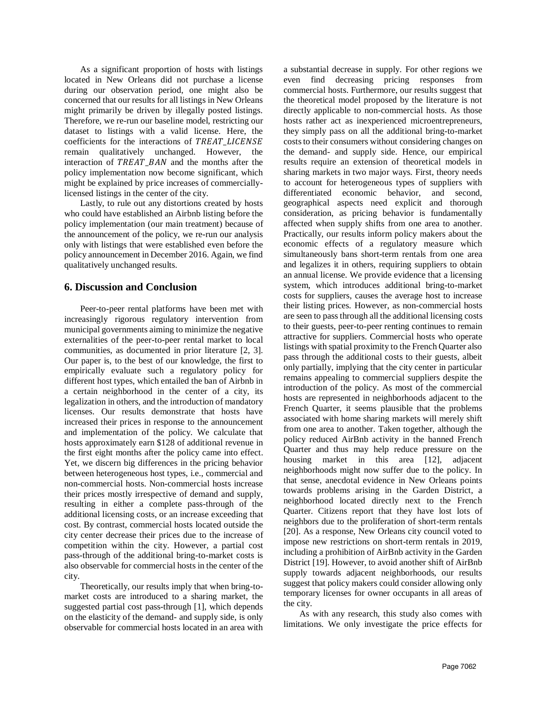As a significant proportion of hosts with listings located in New Orleans did not purchase a license during our observation period, one might also be concerned that our results for all listings in New Orleans might primarily be driven by illegally posted listings. Therefore, we re-run our baseline model, restricting our dataset to listings with a valid license. Here, the coefficients for the interactions of TREAT\_LICENSE remain qualitatively unchanged. However, the interaction of  $TREAT_BAN$  and the months after the policy implementation now become significant, which might be explained by price increases of commerciallylicensed listings in the center of the city.

Lastly, to rule out any distortions created by hosts who could have established an Airbnb listing before the policy implementation (our main treatment) because of the announcement of the policy, we re-run our analysis only with listings that were established even before the policy announcement in December 2016. Again, we find qualitatively unchanged results.

## **6. Discussion and Conclusion**

Peer-to-peer rental platforms have been met with increasingly rigorous regulatory intervention from municipal governments aiming to minimize the negative externalities of the peer-to-peer rental market to local communities, as documented in prior literature [2, 3]. Our paper is, to the best of our knowledge, the first to empirically evaluate such a regulatory policy for different host types, which entailed the ban of Airbnb in a certain neighborhood in the center of a city, its legalization in others, and the introduction of mandatory licenses. Our results demonstrate that hosts have increased their prices in response to the announcement and implementation of the policy. We calculate that hosts approximately earn \$128 of additional revenue in the first eight months after the policy came into effect. Yet, we discern big differences in the pricing behavior between heterogeneous host types, i.e., commercial and non-commercial hosts. Non-commercial hosts increase their prices mostly irrespective of demand and supply, resulting in either a complete pass-through of the additional licensing costs, or an increase exceeding that cost. By contrast, commercial hosts located outside the city center decrease their prices due to the increase of competition within the city. However, a partial cost pass-through of the additional bring-to-market costs is also observable for commercial hosts in the center of the city.

Theoretically, our results imply that when bring-tomarket costs are introduced to a sharing market, the suggested partial cost pass-through [1], which depends on the elasticity of the demand- and supply side, is only observable for commercial hosts located in an area with

a substantial decrease in supply. For other regions we even find decreasing pricing responses from commercial hosts. Furthermore, our results suggest that the theoretical model proposed by the literature is not directly applicable to non-commercial hosts. As those hosts rather act as inexperienced microentrepreneurs, they simply pass on all the additional bring-to-market costs to their consumers without considering changes on the demand- and supply side. Hence, our empirical results require an extension of theoretical models in sharing markets in two major ways. First, theory needs to account for heterogeneous types of suppliers with differentiated economic behavior, and second, geographical aspects need explicit and thorough consideration, as pricing behavior is fundamentally affected when supply shifts from one area to another. Practically, our results inform policy makers about the economic effects of a regulatory measure which simultaneously bans short-term rentals from one area and legalizes it in others, requiring suppliers to obtain an annual license. We provide evidence that a licensing system, which introduces additional bring-to-market costs for suppliers, causes the average host to increase their listing prices. However, as non-commercial hosts are seen to passthrough all the additional licensing costs to their guests, peer-to-peer renting continues to remain attractive for suppliers. Commercial hosts who operate listings with spatial proximity to the French Quarter also pass through the additional costs to their guests, albeit only partially, implying that the city center in particular remains appealing to commercial suppliers despite the introduction of the policy. As most of the commercial hosts are represented in neighborhoods adjacent to the French Quarter, it seems plausible that the problems associated with home sharing markets will merely shift from one area to another. Taken together, although the policy reduced AirBnb activity in the banned French Quarter and thus may help reduce pressure on the housing market in this area [12], adjacent neighborhoods might now suffer due to the policy. In that sense, anecdotal evidence in New Orleans points towards problems arising in the Garden District, a neighborhood located directly next to the French Quarter. Citizens report that they have lost lots of neighbors due to the proliferation of short-term rentals [20]. As a response, New Orleans city council voted to impose new restrictions on short-term rentals in 2019, including a prohibition of AirBnb activity in the Garden District [19]. However, to avoid another shift of AirBnb supply towards adjacent neighborhoods, our results suggest that policy makers could consider allowing only temporary licenses for owner occupants in all areas of the city.

As with any research, this study also comes with limitations. We only investigate the price effects for